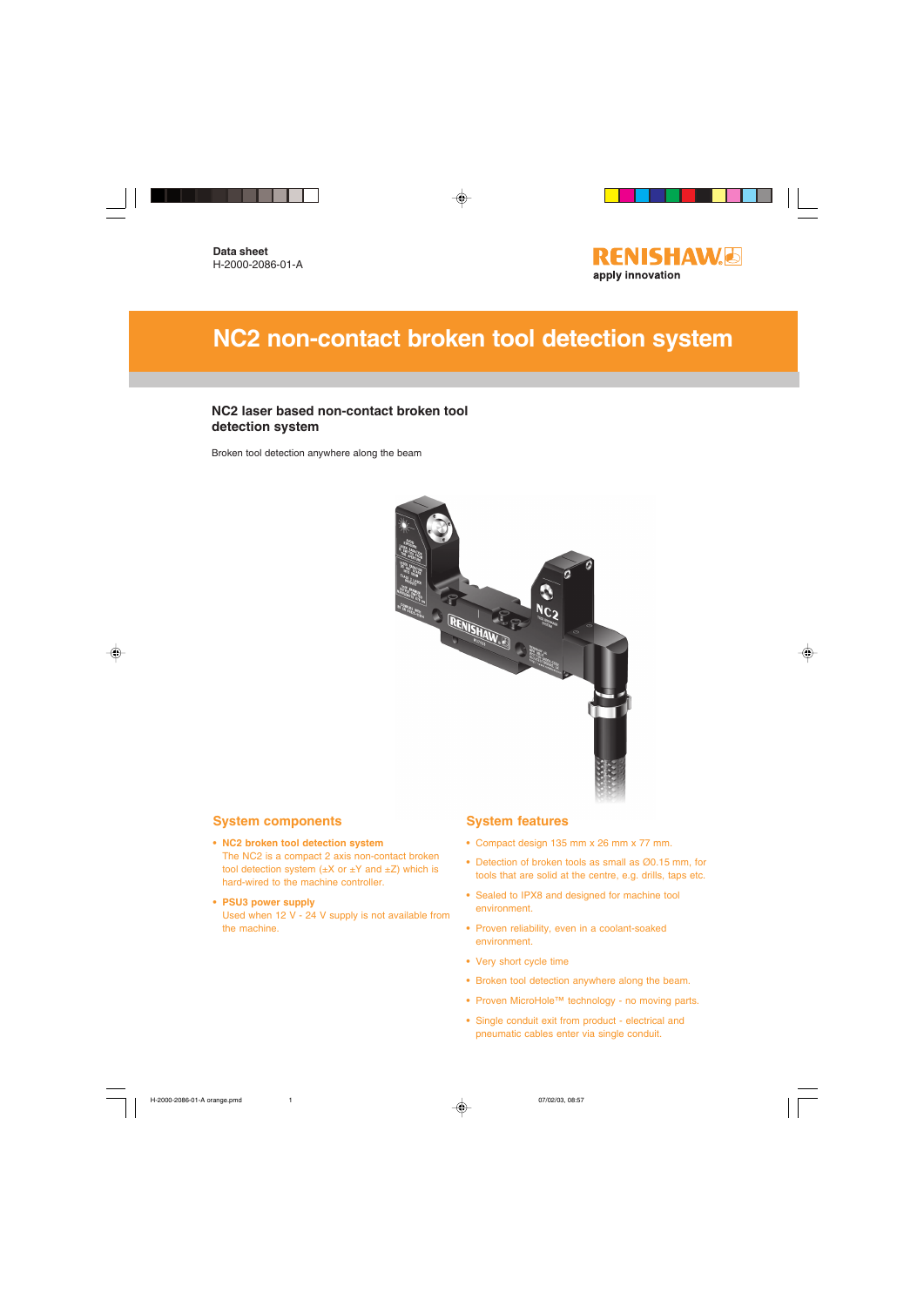

# **NC2 non-contact broken tool detection system**

#### **NC2 laser based non-contact broken tool detection system**

Broken tool detection anywhere along the beam



#### **System components**

- **NC2 broken tool detection system** The NC2 is a compact 2 axis non-contact broken tool detection system  $(\pm X \text{ or } \pm Y \text{ and } \pm Z)$  which is hard-wired to the machine controller.
- **PSU3 power supply** Used when 12 V - 24 V supply is not available from the machine.

#### **System features**

- **•** Compact design 135 mm x 26 mm x 77 mm.
- **•** Detection of broken tools as small as Ø0.15 mm, for tools that are solid at the centre, e.g. drills, taps etc.
- **•** Sealed to IPX8 and designed for machine tool environment.
- **•** Proven reliability, even in a coolant-soaked environment.
- **•** Very short cycle time
- **•** Broken tool detection anywhere along the beam.
- **•** Proven MicroHole™ technology no moving parts.
- **•** Single conduit exit from product electrical and pneumatic cables enter via single conduit.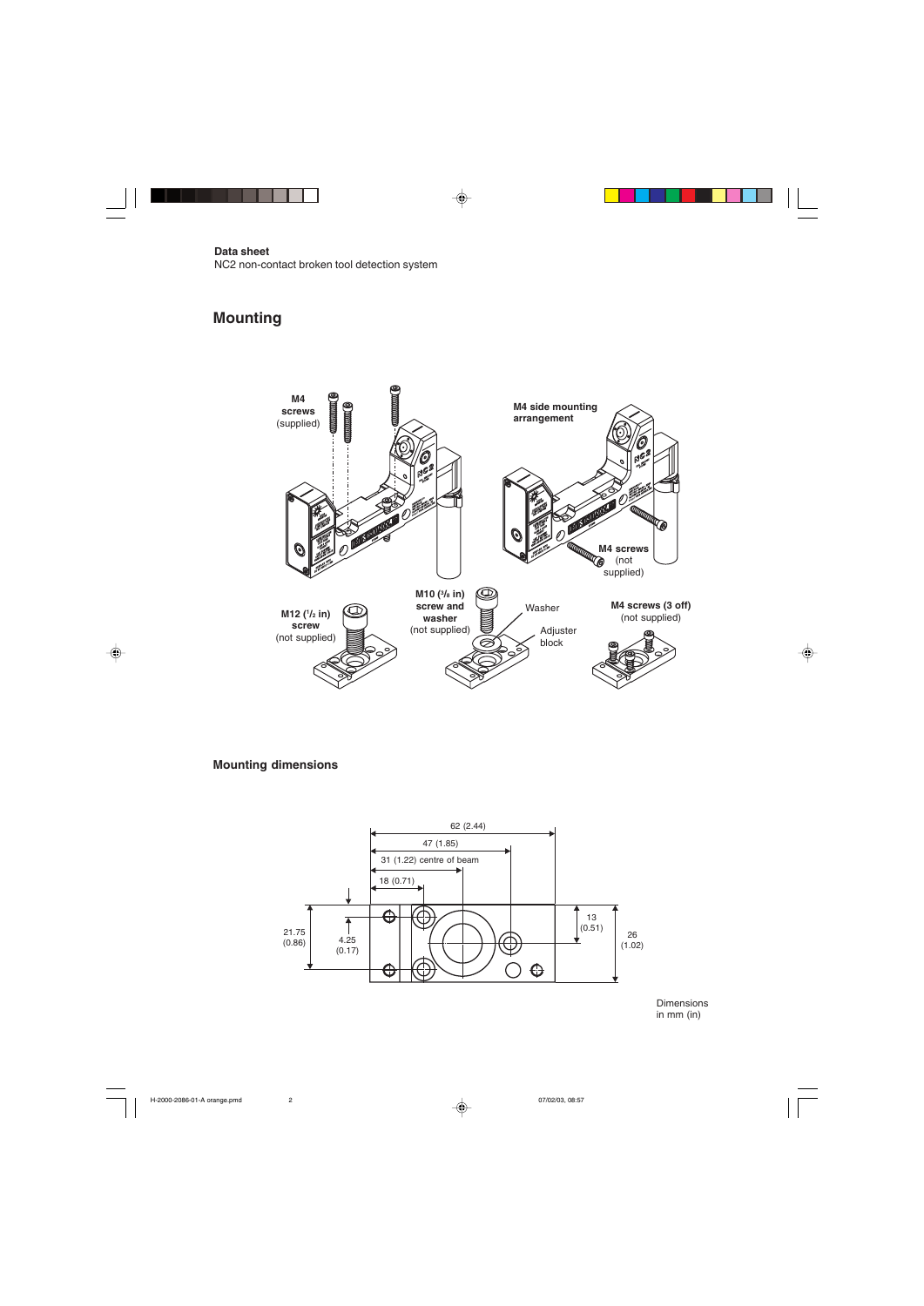# **Mounting**



**Mounting dimensions**



Dimensions in mm (in)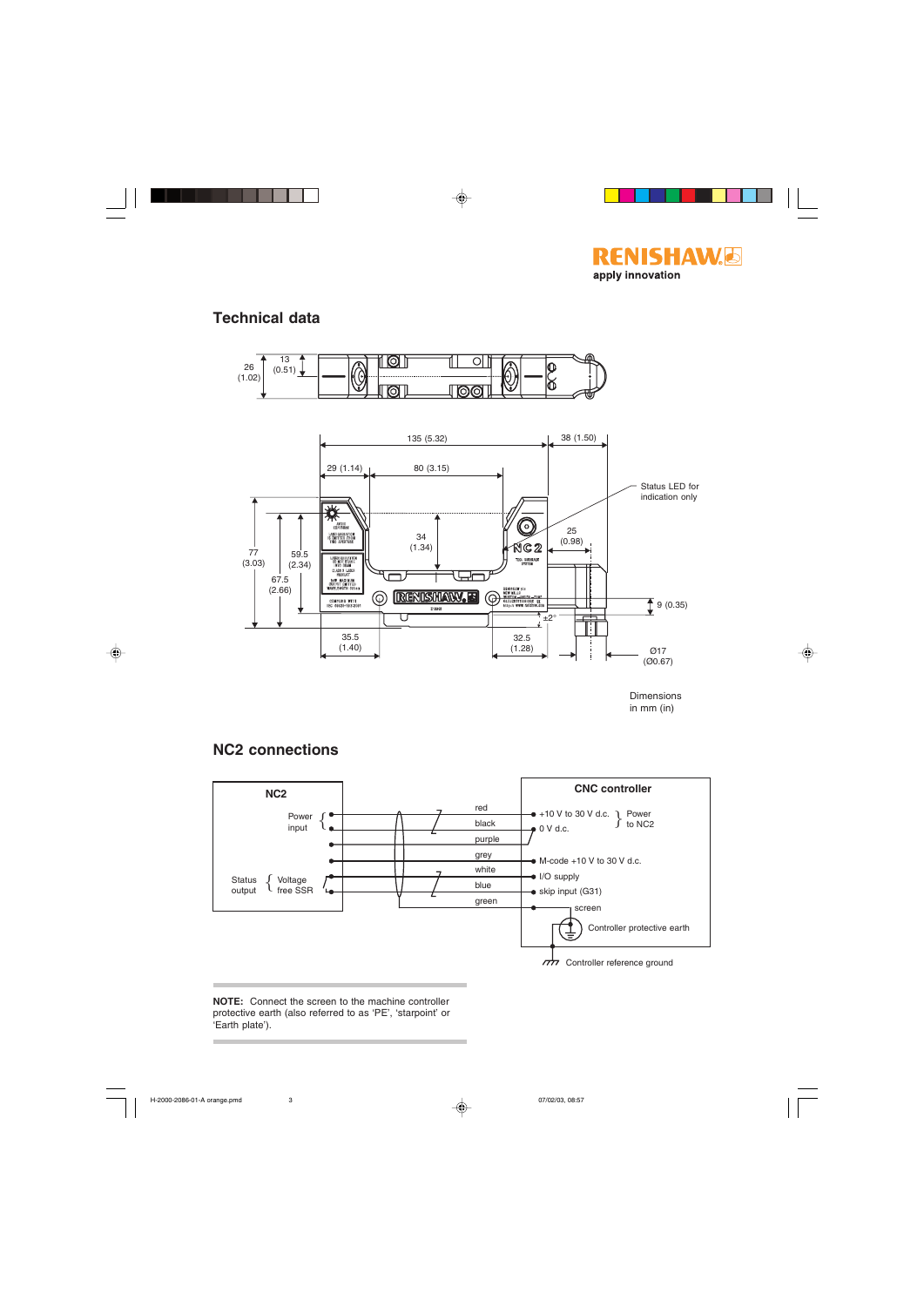

## **Technical data**

**NC2 connections**



Dimensions in mm (in)



**NOTE:** Connect the screen to the machine controller protective earth (also referred to as 'PE', 'starpoint' or 'Earth plate').